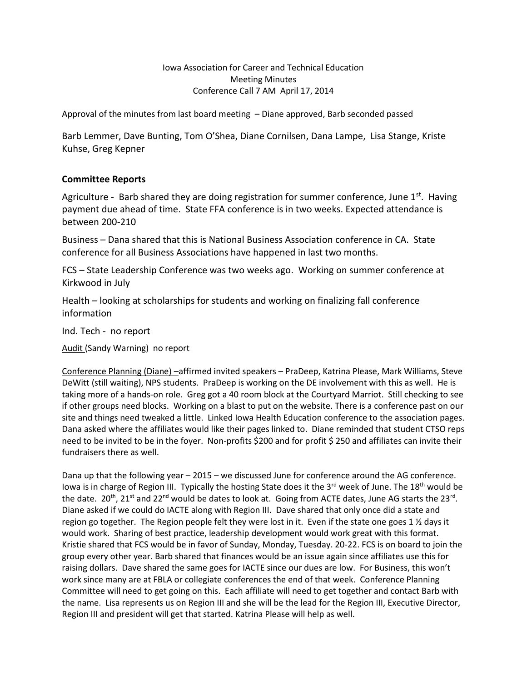Iowa Association for Career and Technical Education Meeting Minutes Conference Call 7 AM April 17, 2014

Approval of the minutes from last board meeting – Diane approved, Barb seconded passed

Barb Lemmer, Dave Bunting, Tom O'Shea, Diane Cornilsen, Dana Lampe, Lisa Stange, Kriste Kuhse, Greg Kepner

## **Committee Reports**

Agriculture - Barb shared they are doing registration for summer conference, June  $1<sup>st</sup>$ . Having payment due ahead of time. State FFA conference is in two weeks. Expected attendance is between 200-210

Business – Dana shared that this is National Business Association conference in CA. State conference for all Business Associations have happened in last two months.

FCS – State Leadership Conference was two weeks ago. Working on summer conference at Kirkwood in July

Health – looking at scholarships for students and working on finalizing fall conference information

Ind. Tech - no report

Audit (Sandy Warning) no report

Conference Planning (Diane) –affirmed invited speakers – PraDeep, Katrina Please, Mark Williams, Steve DeWitt (still waiting), NPS students. PraDeep is working on the DE involvement with this as well. He is taking more of a hands-on role. Greg got a 40 room block at the Courtyard Marriot. Still checking to see if other groups need blocks. Working on a blast to put on the website. There is a conference past on our site and things need tweaked a little. Linked Iowa Health Education conference to the association pages. Dana asked where the affiliates would like their pages linked to. Diane reminded that student CTSO reps need to be invited to be in the foyer. Non-profits \$200 and for profit \$ 250 and affiliates can invite their fundraisers there as well.

Dana up that the following year – 2015 – we discussed June for conference around the AG conference. Iowa is in charge of Region III. Typically the hosting State does it the 3<sup>rd</sup> week of June. The 18<sup>th</sup> would be the date. 20<sup>th</sup>, 21<sup>st</sup> and 22<sup>nd</sup> would be dates to look at. Going from ACTE dates, June AG starts the 23<sup>rd</sup>. Diane asked if we could do IACTE along with Region III. Dave shared that only once did a state and region go together. The Region people felt they were lost in it. Even if the state one goes 1 ½ days it would work. Sharing of best practice, leadership development would work great with this format. Kristie shared that FCS would be in favor of Sunday, Monday, Tuesday. 20-22. FCS is on board to join the group every other year. Barb shared that finances would be an issue again since affiliates use this for raising dollars. Dave shared the same goes for IACTE since our dues are low. For Business, this won't work since many are at FBLA or collegiate conferences the end of that week. Conference Planning Committee will need to get going on this. Each affiliate will need to get together and contact Barb with the name. Lisa represents us on Region III and she will be the lead for the Region III, Executive Director, Region III and president will get that started. Katrina Please will help as well.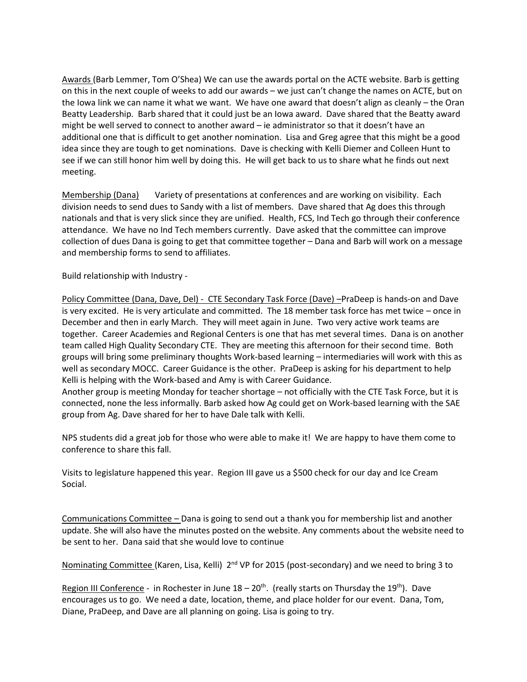Awards (Barb Lemmer, Tom O'Shea) We can use the awards portal on the ACTE website. Barb is getting on this in the next couple of weeks to add our awards – we just can't change the names on ACTE, but on the Iowa link we can name it what we want. We have one award that doesn't align as cleanly – the Oran Beatty Leadership. Barb shared that it could just be an Iowa award. Dave shared that the Beatty award might be well served to connect to another award – ie administrator so that it doesn't have an additional one that is difficult to get another nomination. Lisa and Greg agree that this might be a good idea since they are tough to get nominations. Dave is checking with Kelli Diemer and Colleen Hunt to see if we can still honor him well by doing this. He will get back to us to share what he finds out next meeting.

Membership (Dana) Variety of presentations at conferences and are working on visibility. Each division needs to send dues to Sandy with a list of members. Dave shared that Ag does this through nationals and that is very slick since they are unified. Health, FCS, Ind Tech go through their conference attendance. We have no Ind Tech members currently. Dave asked that the committee can improve collection of dues Dana is going to get that committee together – Dana and Barb will work on a message and membership forms to send to affiliates.

Build relationship with Industry -

Policy Committee (Dana, Dave, Del) - CTE Secondary Task Force (Dave) –PraDeep is hands-on and Dave is very excited. He is very articulate and committed. The 18 member task force has met twice – once in December and then in early March. They will meet again in June. Two very active work teams are together. Career Academies and Regional Centers is one that has met several times. Dana is on another team called High Quality Secondary CTE. They are meeting this afternoon for their second time. Both groups will bring some preliminary thoughts Work-based learning – intermediaries will work with this as well as secondary MOCC. Career Guidance is the other. PraDeep is asking for his department to help Kelli is helping with the Work-based and Amy is with Career Guidance.

Another group is meeting Monday for teacher shortage – not officially with the CTE Task Force, but it is connected, none the less informally. Barb asked how Ag could get on Work-based learning with the SAE group from Ag. Dave shared for her to have Dale talk with Kelli.

NPS students did a great job for those who were able to make it! We are happy to have them come to conference to share this fall.

Visits to legislature happened this year. Region III gave us a \$500 check for our day and Ice Cream Social.

Communications Committee – Dana is going to send out a thank you for membership list and another update. She will also have the minutes posted on the website. Any comments about the website need to be sent to her. Dana said that she would love to continue

Nominating Committee (Karen, Lisa, Kelli) 2<sup>nd</sup> VP for 2015 (post-secondary) and we need to bring 3 to

Region III Conference - in Rochester in June  $18-20$ <sup>th</sup>. (really starts on Thursday the 19<sup>th</sup>). Dave encourages us to go. We need a date, location, theme, and place holder for our event. Dana, Tom, Diane, PraDeep, and Dave are all planning on going. Lisa is going to try.